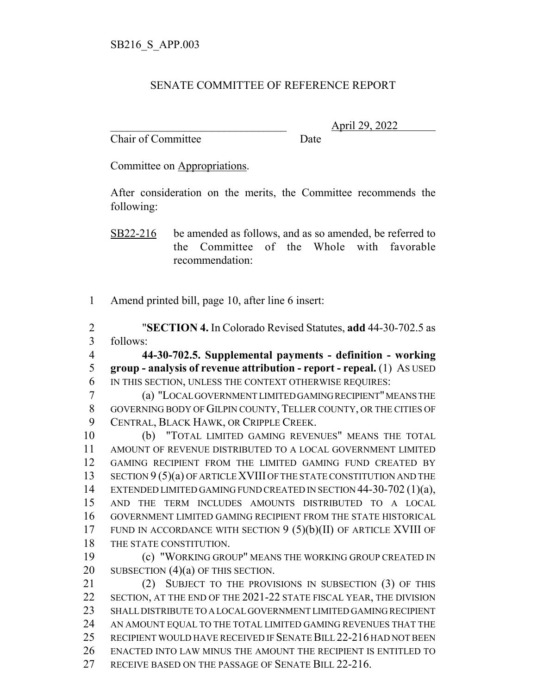## SENATE COMMITTEE OF REFERENCE REPORT

Chair of Committee Date

\_\_\_\_\_\_\_\_\_\_\_\_\_\_\_\_\_\_\_\_\_\_\_\_\_\_\_\_\_\_\_ April 29, 2022

Committee on Appropriations.

After consideration on the merits, the Committee recommends the following:

SB22-216 be amended as follows, and as so amended, be referred to the Committee of the Whole with favorable recommendation:

Amend printed bill, page 10, after line 6 insert:

 "**SECTION 4.** In Colorado Revised Statutes, **add** 44-30-702.5 as follows:

 **44-30-702.5. Supplemental payments - definition - working group - analysis of revenue attribution - report - repeal.** (1) AS USED IN THIS SECTION, UNLESS THE CONTEXT OTHERWISE REQUIRES:

 (a) "LOCAL GOVERNMENT LIMITED GAMING RECIPIENT" MEANS THE GOVERNING BODY OF GILPIN COUNTY, TELLER COUNTY, OR THE CITIES OF CENTRAL, BLACK HAWK, OR CRIPPLE CREEK.

 (b) "TOTAL LIMITED GAMING REVENUES" MEANS THE TOTAL AMOUNT OF REVENUE DISTRIBUTED TO A LOCAL GOVERNMENT LIMITED GAMING RECIPIENT FROM THE LIMITED GAMING FUND CREATED BY 13 SECTION 9 (5)(a) OF ARTICLE XVIII OF THE STATE CONSTITUTION AND THE EXTENDED LIMITED GAMING FUND CREATED IN SECTION 44-30-702 (1)(a), AND THE TERM INCLUDES AMOUNTS DISTRIBUTED TO A LOCAL GOVERNMENT LIMITED GAMING RECIPIENT FROM THE STATE HISTORICAL 17 FUND IN ACCORDANCE WITH SECTION  $9(5)(b)(II)$  OF ARTICLE XVIII OF THE STATE CONSTITUTION.

 (c) "WORKING GROUP" MEANS THE WORKING GROUP CREATED IN 20 SUBSECTION (4)(a) OF THIS SECTION.

 (2) SUBJECT TO THE PROVISIONS IN SUBSECTION (3) OF THIS SECTION, AT THE END OF THE 2021-22 STATE FISCAL YEAR, THE DIVISION SHALL DISTRIBUTE TO A LOCAL GOVERNMENT LIMITED GAMING RECIPIENT AN AMOUNT EQUAL TO THE TOTAL LIMITED GAMING REVENUES THAT THE RECIPIENT WOULD HAVE RECEIVED IF SENATE BILL 22-216 HAD NOT BEEN ENACTED INTO LAW MINUS THE AMOUNT THE RECIPIENT IS ENTITLED TO 27 RECEIVE BASED ON THE PASSAGE OF SENATE BILL 22-216.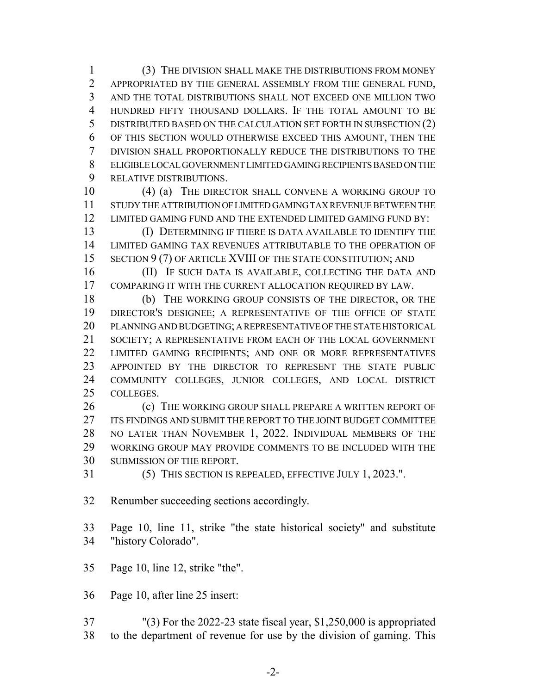(3) THE DIVISION SHALL MAKE THE DISTRIBUTIONS FROM MONEY APPROPRIATED BY THE GENERAL ASSEMBLY FROM THE GENERAL FUND, AND THE TOTAL DISTRIBUTIONS SHALL NOT EXCEED ONE MILLION TWO HUNDRED FIFTY THOUSAND DOLLARS. IF THE TOTAL AMOUNT TO BE DISTRIBUTED BASED ON THE CALCULATION SET FORTH IN SUBSECTION (2) OF THIS SECTION WOULD OTHERWISE EXCEED THIS AMOUNT, THEN THE DIVISION SHALL PROPORTIONALLY REDUCE THE DISTRIBUTIONS TO THE ELIGIBLE LOCAL GOVERNMENT LIMITED GAMING RECIPIENTS BASED ON THE RELATIVE DISTRIBUTIONS.

 (4) (a) THE DIRECTOR SHALL CONVENE A WORKING GROUP TO STUDY THE ATTRIBUTION OF LIMITED GAMING TAX REVENUE BETWEEN THE LIMITED GAMING FUND AND THE EXTENDED LIMITED GAMING FUND BY:

 (I) DETERMINING IF THERE IS DATA AVAILABLE TO IDENTIFY THE LIMITED GAMING TAX REVENUES ATTRIBUTABLE TO THE OPERATION OF 15 SECTION 9 (7) OF ARTICLE XVIII OF THE STATE CONSTITUTION; AND

 (II) IF SUCH DATA IS AVAILABLE, COLLECTING THE DATA AND COMPARING IT WITH THE CURRENT ALLOCATION REQUIRED BY LAW.

 (b) THE WORKING GROUP CONSISTS OF THE DIRECTOR, OR THE DIRECTOR'S DESIGNEE; A REPRESENTATIVE OF THE OFFICE OF STATE PLANNING AND BUDGETING; A REPRESENTATIVE OF THE STATE HISTORICAL SOCIETY; A REPRESENTATIVE FROM EACH OF THE LOCAL GOVERNMENT LIMITED GAMING RECIPIENTS; AND ONE OR MORE REPRESENTATIVES APPOINTED BY THE DIRECTOR TO REPRESENT THE STATE PUBLIC COMMUNITY COLLEGES, JUNIOR COLLEGES, AND LOCAL DISTRICT COLLEGES.

**(c)** THE WORKING GROUP SHALL PREPARE A WRITTEN REPORT OF ITS FINDINGS AND SUBMIT THE REPORT TO THE JOINT BUDGET COMMITTEE NO LATER THAN NOVEMBER 1, 2022. INDIVIDUAL MEMBERS OF THE WORKING GROUP MAY PROVIDE COMMENTS TO BE INCLUDED WITH THE SUBMISSION OF THE REPORT.

(5) THIS SECTION IS REPEALED, EFFECTIVE JULY 1, 2023.".

Renumber succeeding sections accordingly.

 Page 10, line 11, strike "the state historical society" and substitute "history Colorado".

Page 10, line 12, strike "the".

Page 10, after line 25 insert:

 "(3) For the 2022-23 state fiscal year, \$1,250,000 is appropriated to the department of revenue for use by the division of gaming. This

-2-